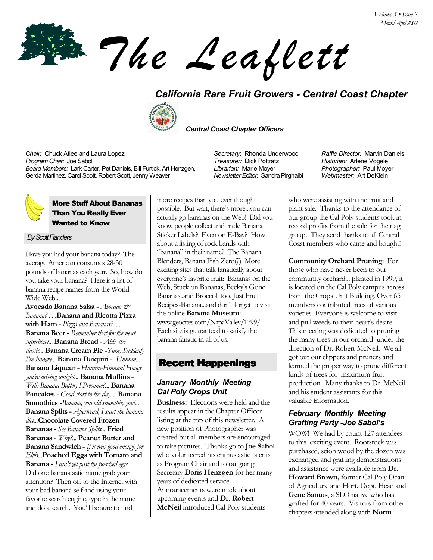*The Leaflett*

# *California Rare Fruit Growers - Central Coast Chapter*



 *Central Coast Chapter Officers*

*Chair:* Chuck Atlee and Laura Lopez *Secretary*: Rhonda Underwood *Raffle Director:* Marvin Daniels *Program Chair:* Joe Sabol *Treasurer:* Dick Pottratz *Historian:* Arlene Vogele *Board Members:* Lark Carter, Pet Daniels, Bill Furtick, Art Henzgen, Gerda Martinez, Carol Scott, Robert Scott, Jenny Weaver

## More Stuff About Bananas Than You Really Ever Wanted to Know

#### *By Scott Flanders*

Have you had your banana today? The average American consumes 28-30 pounds of bananas each year. So, how do you take your banana? Here is a list of banana recipe names from the World  $W_1$ de  $W_e$ h...

**Avocado Banana Salsa -** *Avocado & Banana? . . .***Banana and Ricotta Pizza with Ham** - *Pizza and Bananas?. . .*  **Banana Beer -** *Remember that for the next superbowl...* **Banana Bread** - *Ahh, the classic...* **Banana Cream Pie -***Yum, Suddenly Iím hungry...* **Banana Daiquiri -** *Hmmm...*  **Banana Liqueur -** *Hmmm-Hmmm! Honey youíre driving tonight...* **Banana Muffins -**  *With Banana Butter, I Presume?...* **Banana Pancakes -** *Good start to the day...* **Banana Smoothies -***Banana, you old smoothie, you!...*  **Banana Splits -** *Afterward, I start the banana diet...***Chocolate Covered Frozen Bananas -** *See Banana Splits...* **Fried Bananas** - *Why?...* **Peanut Butter and Banana Sandwich -** *If it was good enough for Elvis...***Poached Eggs with Tomato and Banana -** *I canít get past the poached eggs.* Did one bananatastic name grab your attention? Then off to the Internet with your bad banana self and using your favorite search engine, type in the name and do a search. You'll be sure to find

more recipes than you ever thought possible. But wait, there's more...you can actually go bananas on the Web! Did you know people collect and trade Banana Sticker Labels? Even on E-Bay? How about a listing of rock bands with "banana" in their name? The Banana Blenders, Banana Fish Zero(?) More exciting sites that talk fanatically about everyone's favorite fruit: Bananas on the Web, Stuck on Bananas, Becky's Gone Bananas..and Broccoli too, Just Fruit Recipes-Banana...and don't forget to visit the online **Banana Museum**: www.geocites.com/NapaValley/1799/. Each site is guaranteed to satisfy the banana fanatic in all of us.

## Recent Happenings

### *January Monthly Meeting Cal Poly Crops Unit*

**Business:** Elections were held and the results appear in the Chapter Officer listing at the top of this newsletter. A new position of Photographer was created but all members are encouraged to take pictures. Thanks go to **Joe Sabol** who volunteered his enthusiastic talents as Program Chair and to outgoing Secretary **Doris Henzgen** for her many years of dedicated service. Announcements were made about upcoming events and **Dr. Robert McNeil** introduced Cal Poly students

*Librarian:* Marie Moyer *Newsletter Editor:* Sandra Pirghaibi *Photographer:* Paul Moyer *Webmaster:* Art DeKlein

who were assisting with the fruit and plant sale. Thanks to the attendance of our group the Cal Poly students took in record profits from the sale for their ag group. They send thanks to all Central Coast members who came and bought!

**Community Orchard Pruning**: For those who have never been to our community orchard... planted in 1999, it is located on the Cal Poly campus across from the Crops Unit Building. Over 65 members contributed trees of various varieties. Everyone is welcome to visit and pull weeds to their heart's desire. This meeting was dedicated to pruning the many trees in our orchard under the direction of Dr. Robert McNeil. We all got out our clippers and pruners and learned the proper way to prune different kinds of trees for maximum fruit production. Many thanks to Dr. McNeil and his student assistants for this valuable information.

## *February Monthly Meeting Grafting Party -Joe Sabolís*

WOW! We had by count 127 attendees to this exciting event. Rootstock was purchased, scion wood by the dozen was exchanged and grafting demonstrations and assistance were available from **Dr. Howard Brown,** former Cal Poly Dean of Agriculture and Hort. Dept. Head and **Gene Santos**, a SLO native who has grafted for 40 years. Visitors from other chapters attended along with **Norm**